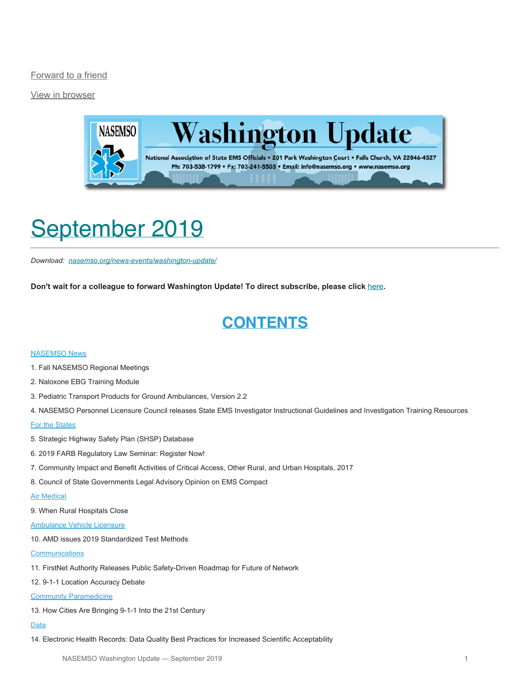[Forward to a friend](http://us13.forward-to-friend.com/forward?u=bdaf9a0cf267d423437d7b149&id=a48ae799e9&e=[UNIQID])

[View in browser](https://mailchi.mp/add9f03c001f/washington-update-2019-09?e=[UNIQID])



# <span id="page-0-0"></span>September 2019

*Download: [nasemso.org/news-events/washington-update/](https://nasemso.org/news-events/washington-update/)*

**Don't wait for a colleague to forward Washington Update! To direct subscribe, please click** [here](http://eepurl.com/cb1_dP)**.**

## **CONTENTS**

#### **[NASEMSO News](#page-1-0)**

- 1. Fall NASEMSO Regional Meetings
- 2. Naloxone EBG Training Module
- 3. Pediatric Transport Products for Ground Ambulances, Version 2.2
- 4. NASEMSO Personnel Licensure Council releases State EMS Investigator Instructional Guidelines and Investigation Training Resources

#### [For the States](#page-3-0)

- 5. Strategic Highway Safety Plan (SHSP) Database
- 6. 2019 FARB Regulatory Law Seminar: Register Now!
- 7. Community Impact and Benefit Activities of Critical Access, Other Rural, and Urban Hospitals, 2017
- 8. Council of State Governments Legal Advisory Opinion on EMS Compact

#### [Air Medical](#page-4-0)

9. When Rural Hospitals Close

#### [Ambulance Vehicle Licensure](#page-4-1)

10. AMD issues 2019 Standardized Test Methods

#### **[Communications](#page-4-2)**

- 11. FirstNet Authority Releases Public Safety-Driven Roadmap for Future of Network
- 12. 9-1-1 Location Accuracy Debate

#### [Community Paramedicine](#page-5-0)

13. How Cities Are Bringing 9-1-1 Into the 21st Century

#### [Data](#page-5-1)

14. Electronic Health Records: Data Quality Best Practices for Increased Scientific Acceptability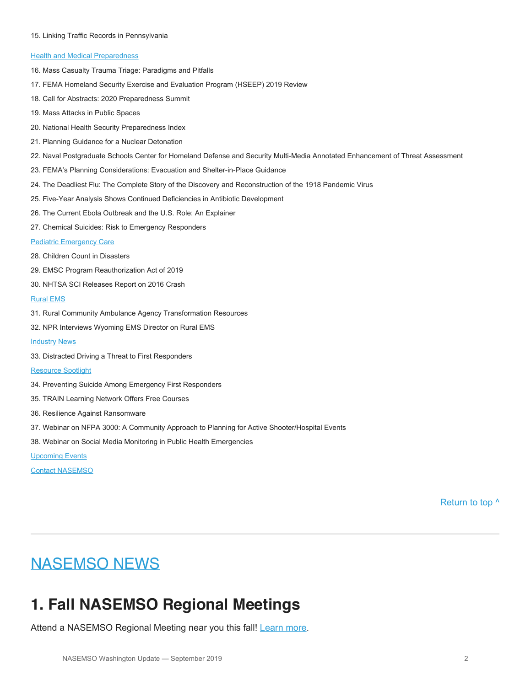#### 15. Linking Traffic Records in Pennsylvania

#### **[Health and Medical Preparedness](#page-6-0)**

- 16. Mass Casualty Trauma Triage: Paradigms and Pitfalls
- 17. FEMA Homeland Security Exercise and Evaluation Program (HSEEP) 2019 Review
- 18. Call for Abstracts: 2020 Preparedness Summit
- 19. Mass Attacks in Public Spaces
- 20. National Health Security Preparedness Index
- 21. Planning Guidance for a Nuclear Detonation
- 22. Naval Postgraduate Schools Center for Homeland Defense and Security Multi-Media Annotated Enhancement of Threat Assessment
- 23. FEMA's Planning Considerations: Evacuation and Shelter-in-Place Guidance
- 24. The Deadliest Flu: The Complete Story of the Discovery and Reconstruction of the 1918 Pandemic Virus
- 25. Five-Year Analysis Shows Continued Deficiencies in Antibiotic Development
- 26. The Current Ebola Outbreak and the U.S. Role: An Explainer
- 27. Chemical Suicides: Risk to Emergency Responders

#### [Pediatric Emergency Care](#page-9-0)

- 28. Children Count in Disasters
- 29. EMSC Program Reauthorization Act of 2019
- 30. NHTSA SCI Releases Report on 2016 Crash

#### [Rural EMS](#page-10-0)

- 31. Rural Community Ambulance Agency Transformation Resources
- 32. NPR Interviews Wyoming EMS Director on Rural EMS
- **[Industry News](#page-10-1)**
- 33. Distracted Driving a Threat to First Responders

#### [Resource Spotlight](#page-11-0)

- 34. Preventing Suicide Among Emergency First Responders
- 35. TRAIN Learning Network Offers Free Courses
- 36. Resilience Against Ransomware
- 37. Webinar on NFPA 3000: A Community Approach to Planning for Active Shooter/Hospital Events
- 38. Webinar on Social Media Monitoring in Public Health Emergencies

#### [Upcoming Events](#page-13-0)

[Contact NASEMSO](#page-15-0)

[Return to top ^](#page-0-0)

### <span id="page-1-0"></span>NASEMSO NEWS

### **1. Fall NASEMSO Regional Meetings**

Attend a NASEMSO Regional Meeting near you this fall! [Learn more](https://nasemso.org/news-events/meetings/).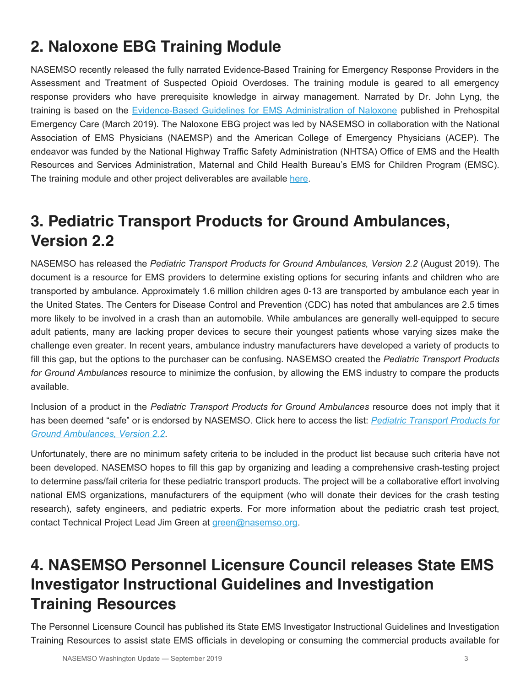## **2. Naloxone EBG Training Module**

NASEMSO recently released the fully narrated Evidence-Based Training for Emergency Response Providers in the Assessment and Treatment of Suspected Opioid Overdoses. The training module is geared to all emergency response providers who have prerequisite knowledge in airway management. Narrated by Dr. John Lyng, the training is based on the [Evidence-Based Guidelines for EMS Administration of Naloxone](https://www.tandfonline.com/doi/full/10.1080/10903127.2019.1597955) published in Prehospital Emergency Care (March 2019). The Naloxone EBG project was led by NASEMSO in collaboration with the National Association of EMS Physicians (NAEMSP) and the American College of Emergency Physicians (ACEP). The endeavor was funded by the National Highway Traffic Safety Administration (NHTSA) Office of EMS and the Health Resources and Services Administration, Maternal and Child Health Bureau's EMS for Children Program (EMSC). The training module and other project deliverables are available [here](https://nasemso.org/projects/naloxone-evidence-based-guidelines/).

## **3. Pediatric Transport Products for Ground Ambulances, Version 2.2**

NASEMSO has released the *Pediatric Transport Products for Ground Ambulances, Version 2.2* (August 2019). The document is a resource for EMS providers to determine existing options for securing infants and children who are transported by ambulance. Approximately 1.6 million children ages 0-13 are transported by ambulance each year in the United States. The Centers for Disease Control and Prevention (CDC) has noted that ambulances are 2.5 times more likely to be involved in a crash than an automobile. While ambulances are generally well-equipped to secure adult patients, many are lacking proper devices to secure their youngest patients whose varying sizes make the challenge even greater. In recent years, ambulance industry manufacturers have developed a variety of products to fill this gap, but the options to the purchaser can be confusing. NASEMSO created the *Pediatric Transport Products for Ground Ambulances* resource to minimize the confusion, by allowing the EMS industry to compare the products available.

Inclusion of a product in the *Pediatric Transport Products for Ground Ambulances* resource does not imply that it has been deemed "safe" or is endorsed by NASEMSO. Click here to access the list: *[Pediatric Transport Products for](https://nasemso.org/wp-content/uploads/Pediatric-Transport-Products-for-Ground-Ambulances-v2.1.pdf) [Ground Ambulances, Version 2.2](https://nasemso.org/wp-content/uploads/Pediatric-Transport-Products-for-Ground-Ambulances-v2.1.pdf)*.

Unfortunately, there are no minimum safety criteria to be included in the product list because such criteria have not been developed. NASEMSO hopes to fill this gap by organizing and leading a comprehensive crash-testing project to determine pass/fail criteria for these pediatric transport products. The project will be a collaborative effort involving national EMS organizations, manufacturers of the equipment (who will donate their devices for the crash testing research), safety engineers, and pediatric experts. For more information about the pediatric crash test project, contact Technical Project Lead Jim Green at [green@nasemso.org](mailto:green@nasemso.org).

## **4. NASEMSO Personnel Licensure Council releases State EMS Investigator Instructional Guidelines and Investigation Training Resources**

The Personnel Licensure Council has published its State EMS Investigator Instructional Guidelines and Investigation Training Resources to assist state EMS officials in developing or consuming the commercial products available for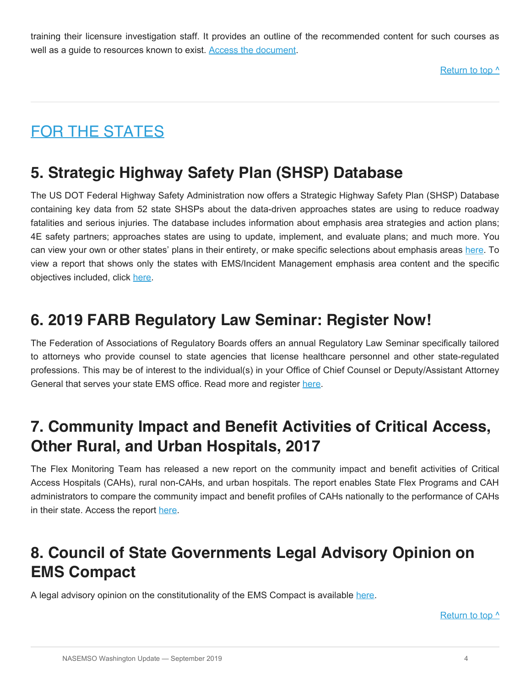training their licensure investigation staff. It provides an outline of the recommended content for such courses as well as a guide to resources known to exist. [Access the document](https://nasemso.org/wp-content/uploads/Investigation-Training-Recommendations-and-Resources-9-6-2019-Final.pdf).

Return to top  $\wedge$ 

## <span id="page-3-0"></span>FOR THE STATES

## **5. Strategic Highway Safety Plan (SHSP) Database**

The US DOT Federal Highway Safety Administration now offers a Strategic Highway Safety Plan (SHSP) Database containing key data from 52 state SHSPs about the data-driven approaches states are using to reduce roadway fatalities and serious injuries. The database includes information about emphasis area strategies and action plans; 4E safety partners; approaches states are using to update, implement, and evaluate plans; and much more. You can view your own or other states' plans in their entirety, or make specific selections about emphasis areas [here.](https://rspcb.safety.fhwa.dot.gov/shspsearch/statesearch.aspx) To view a report that shows only the states with EMS/Incident Management emphasis area content and the specific objectives included, click [here](https://nasemso.org/wp-content/uploads/SHSPs-with-IMEMS-Emphasis-Area-Content-2019-08.pdf).

## **6. 2019 FARB Regulatory Law Seminar: Register Now!**

The Federation of Associations of Regulatory Boards offers an annual Regulatory Law Seminar specifically tailored to attorneys who provide counsel to state agencies that license healthcare personnel and other state-regulated professions. This may be of interest to the individual(s) in your Office of Chief Counsel or Deputy/Assistant Attorney General that serves your state EMS office. Read more and register [here](https://farb.imiscloud.com/SharedContent/Events/Event_Display.aspx?EventKey=53760707-9e16-429e-ab6a-d991179bdca7&iSearchResult=true&WebsiteKey=6d5eb519-6383-47f7-b4d0-addc7060cddf).

## **7. Community Impact and Benefit Activities of Critical Access, Other Rural, and Urban Hospitals, 2017**

The Flex Monitoring Team has released a new report on the community impact and benefit activities of Critical Access Hospitals (CAHs), rural non-CAHs, and urban hospitals. The report enables State Flex Programs and CAH administrators to compare the community impact and benefit profiles of CAHs nationally to the performance of CAHs in their state. Access the report [here](http://www.flexmonitoring.org/wp-content/uploads/2019/07/community-state-impact-report-2017.pdf).

## **8. Council of State Governments Legal Advisory Opinion on EMS Compact**

A legal advisory opinion on the constitutionality of the EMS Compact is available [here.](https://nasemso.org/wp-content/uploads/REPLICA-Legal-Advisory-Opinion-Rulemaking.Revised.pdf)

Return to top  $\wedge$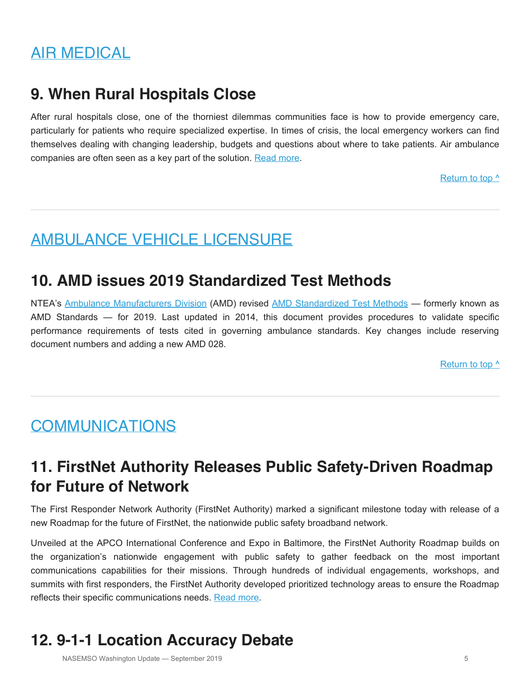## <span id="page-4-0"></span>AIR MEDICAL

### **9. When Rural Hospitals Close**

After rural hospitals close, one of the thorniest dilemmas communities face is how to provide emergency care, particularly for patients who require specialized expertise. In times of crisis, the local emergency workers can find themselves dealing with changing leadership, budgets and questions about where to take patients. Air ambulance companies are often seen as a key part of the solution. [Read more](https://www.npr.org/sections/health-shots/2019/08/18/751467075/no-mercy-after-the-hospital-closes- how-do-people-get-emergency-care).

[Return to top ^](#page-0-0)

## <span id="page-4-1"></span>AMBULANCE VEHICLE LICENSURE

### **10. AMD issues 2019 Standardized Test Methods**

NTEA's [Ambulance Manufacturers Division](http://www.ntea.com/amd) (AMD) revised [AMD Standardized Test Methods](http://www.ntea.com/NTEA/Who_we_are/Affiliate_divisions/AMD_Standardized_Test_Methods.aspx) — formerly known as AMD Standards — for 2019. Last updated in 2014, this document provides procedures to validate specific performance requirements of tests cited in governing ambulance standards. Key changes include reserving document numbers and adding a new AMD 028.

Return to top  $\wedge$ 

## <span id="page-4-2"></span>**COMMUNICATIONS**

## **11. FirstNet Authority Releases Public Safety-Driven Roadmap for Future of Network**

The First Responder Network Authority (FirstNet Authority) marked a significant milestone today with release of a new Roadmap for the future of FirstNet, the nationwide public safety broadband network.

Unveiled at the APCO International Conference and Expo in Baltimore, the FirstNet Authority Roadmap builds on the organization's nationwide engagement with public safety to gather feedback on the most important communications capabilities for their missions. Through hundreds of individual engagements, workshops, and summits with first responders, the FirstNet Authority developed prioritized technology areas to ensure the Roadmap reflects their specific communications needs. [Read more](https://www.firstnet.gov/network/roadmap).

## **12. 9-1-1 Location Accuracy Debate**

NASEMSO Washington Update — September 2019 **5** 5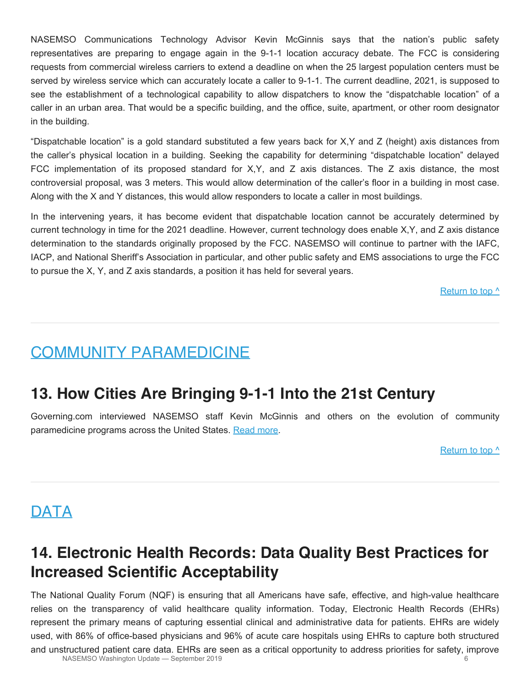NASEMSO Communications Technology Advisor Kevin McGinnis says that the nation's public safety representatives are preparing to engage again in the 9-1-1 location accuracy debate. The FCC is considering requests from commercial wireless carriers to extend a deadline on when the 25 largest population centers must be served by wireless service which can accurately locate a caller to 9-1-1. The current deadline, 2021, is supposed to see the establishment of a technological capability to allow dispatchers to know the "dispatchable location" of a caller in an urban area. That would be a specific building, and the office, suite, apartment, or other room designator in the building.

"Dispatchable location" is a gold standard substituted a few years back for X,Y and Z (height) axis distances from the caller's physical location in a building. Seeking the capability for determining "dispatchable location" delayed FCC implementation of its proposed standard for X,Y, and Z axis distances. The Z axis distance, the most controversial proposal, was 3 meters. This would allow determination of the caller's floor in a building in most case. Along with the X and Y distances, this would allow responders to locate a caller in most buildings.

In the intervening years, it has become evident that dispatchable location cannot be accurately determined by current technology in time for the 2021 deadline. However, current technology does enable X,Y, and Z axis distance determination to the standards originally proposed by the FCC. NASEMSO will continue to partner with the IAFC, IACP, and National Sheriff's Association in particular, and other public safety and EMS associations to urge the FCC to pursue the X, Y, and Z axis standards, a position it has held for several years.

Return to top  $\wedge$ 

### <span id="page-5-0"></span>COMMUNITY PARAMEDICINE

### **13. How Cities Are Bringing 9-1-1 Into the 21st Century**

Governing.com interviewed NASEMSO staff Kevin McGinnis and others on the evolution of community paramedicine programs across the United States. [Read more.](https://www.governing.com/topics/public-justice-safety/gov-911-systems.html)

Return to top  $\wedge$ 

## <span id="page-5-1"></span>**DATA**

## **14. Electronic Health Records: Data Quality Best Practices for Increased Scientific Acceptability**

The National Quality Forum (NQF) is ensuring that all Americans have safe, effective, and high-value healthcare relies on the transparency of valid healthcare quality information. Today, Electronic Health Records (EHRs) represent the primary means of capturing essential clinical and administrative data for patients. EHRs are widely used, with 86% of office-based physicians and 96% of acute care hospitals using EHRs to capture both structured and unstructured patient care data. EHRs are seen as a critical opportunity to address priorities for safety, improve<br>NASEMSO Washington Undate – Sentember 2019 NASEMSO Washington Update - September 2019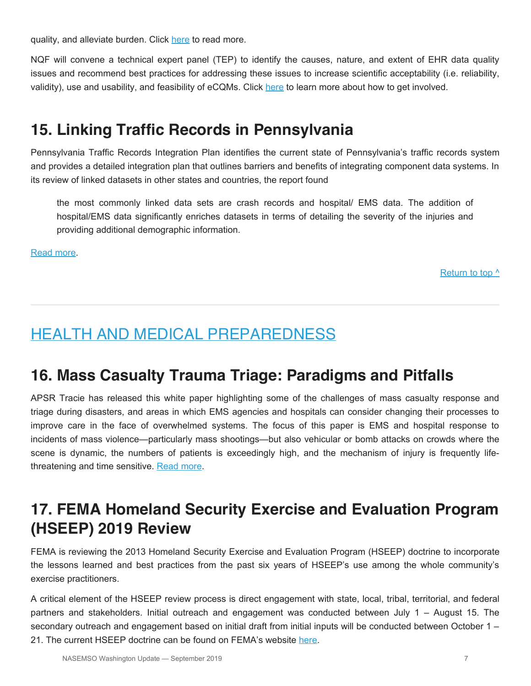quality, and alleviate burden. Click [here](https://nqf.informz.net/informzdataservice/onlineversion/ind/bWFpbGluZ2luc3RhbmNlaWQ9ODcxNDA5NSZzdWJzY3JpYmVyaWQ9MTAzMzExMTQ4MA==) to read more.

NQF will convene a technical expert panel (TEP) to identify the causes, nature, and extent of EHR data quality issues and recommend best practices for addressing these issues to increase scientific acceptability (i.e. reliability, validity), use and usability, and feasibility of eCQMs. Click [here](https://nqf.informz.net/informzdataservice/onlineversion/ind/bWFpbGluZ2luc3RhbmNlaWQ9ODcxNDA5NSZzdWJzY3JpYmVyaWQ9MTAzMzExMTQ4MA==) to learn more about how to get involved.

### **15. Linking Traffic Records in Pennsylvania**

Pennsylvania Traffic Records Integration Plan identifies the current state of Pennsylvania's traffic records system and provides a detailed integration plan that outlines barriers and benefits of integrating component data systems. In its review of linked datasets in other states and countries, the report found

the most commonly linked data sets are crash records and hospital/ EMS data. The addition of hospital/EMS data significantly enriches datasets in terms of detailing the severity of the injuries and providing additional demographic information.

[Read more.](http://www.dot7.state.pa.us/BPR_PDF_FILES/Documents/Research/Complete Projects/Operations/Pennsylvania_Traffic_Records.pdf)

[Return to top ^](#page-0-0)

## <span id="page-6-0"></span>HEALTH AND MEDICAL PREPAREDNESS

### **16. Mass Casualty Trauma Triage: Paradigms and Pitfalls**

APSR Tracie has released this white paper highlighting some of the challenges of mass casualty response and triage during disasters, and areas in which EMS agencies and hospitals can consider changing their processes to improve care in the face of overwhelmed systems. The focus of this paper is EMS and hospital response to incidents of mass violence—particularly mass shootings—but also vehicular or bomb attacks on crowds where the scene is dynamic, the numbers of patients is exceedingly high, and the mechanism of injury is frequently lifethreatening and time sensitive. [Read more](https://files.asprtracie.hhs.gov/documents/aspr-tracie-mass-casualty-triage-final-508.pdf).

## **17. FEMA Homeland Security Exercise and Evaluation Program (HSEEP) 2019 Review**

FEMA is reviewing the 2013 Homeland Security Exercise and Evaluation Program (HSEEP) doctrine to incorporate the lessons learned and best practices from the past six years of HSEEP's use among the whole community's exercise practitioners.

A critical element of the HSEEP review process is direct engagement with state, local, tribal, territorial, and federal partners and stakeholders. Initial outreach and engagement was conducted between July 1 – August 15. The secondary outreach and engagement based on initial draft from initial inputs will be conducted between October 1 – 21. The current HSEEP doctrine can be found on FEMA's website [here.](https://www.fema.gov/hseep)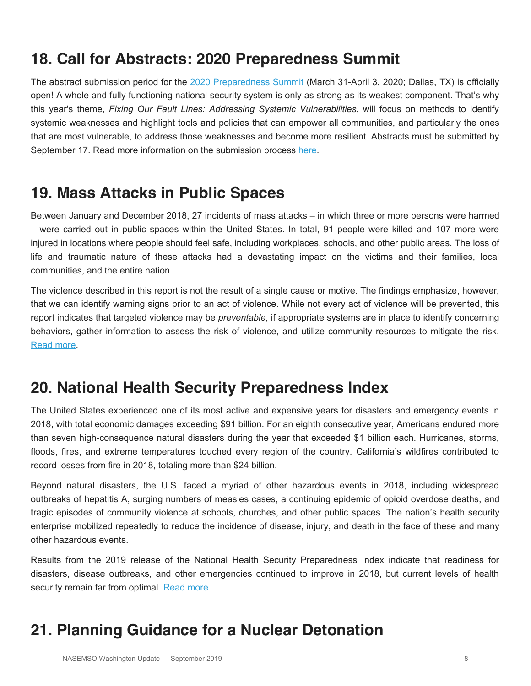## **18. Call for Abstracts: 2020 Preparedness Summit**

The abstract submission period for the [2020 Preparedness Summit](http://www.preparednesssummit.org/home) (March 31-April 3, 2020; Dallas, TX) is officially open! A whole and fully functioning national security system is only as strong as its weakest component. That's why this year's theme, *Fixing Our Fault Lines: Addressing Systemic Vulnerabilities*, will focus on methods to identify systemic weaknesses and highlight tools and policies that can empower all communities, and particularly the ones that are most vulnerable, to address those weaknesses and become more resilient. Abstracts must be submitted by September 17. Read more information on the submission process [here](http://www.preparednesssummit.org/abstract-info425).

## **19. Mass Attacks in Public Spaces**

Between January and December 2018, 27 incidents of mass attacks – in which three or more persons were harmed – were carried out in public spaces within the United States. In total, 91 people were killed and 107 more were injured in locations where people should feel safe, including workplaces, schools, and other public areas. The loss of life and traumatic nature of these attacks had a devastating impact on the victims and their families, local communities, and the entire nation.

The violence described in this report is not the result of a single cause or motive. The findings emphasize, however, that we can identify warning signs prior to an act of violence. While not every act of violence will be prevented, this report indicates that targeted violence may be *preventable*, if appropriate systems are in place to identify concerning behaviors, gather information to assess the risk of violence, and utilize community resources to mitigate the risk. [Read more.](https://www.hsdl.org/?view&did=826876)

## **20. National Health Security Preparedness Index**

The United States experienced one of its most active and expensive years for disasters and emergency events in 2018, with total economic damages exceeding \$91 billion. For an eighth consecutive year, Americans endured more than seven high-consequence natural disasters during the year that exceeded \$1 billion each. Hurricanes, storms, floods, fires, and extreme temperatures touched every region of the country. California's wildfires contributed to record losses from fire in 2018, totaling more than \$24 billion.

Beyond natural disasters, the U.S. faced a myriad of other hazardous events in 2018, including widespread outbreaks of hepatitis A, surging numbers of measles cases, a continuing epidemic of opioid overdose deaths, and tragic episodes of community violence at schools, churches, and other public spaces. The nation's health security enterprise mobilized repeatedly to reduce the incidence of disease, injury, and death in the face of these and many other hazardous events.

Results from the 2019 release of the National Health Security Preparedness Index indicate that readiness for disasters, disease outbreaks, and other emergencies continued to improve in 2018, but current levels of health security remain far from optimal. [Read more](https://nhspi.org/wp-content/uploads/2019/05/NHSPI_2019_Key_Findings.pdf).

## **21. Planning Guidance for a Nuclear Detonation**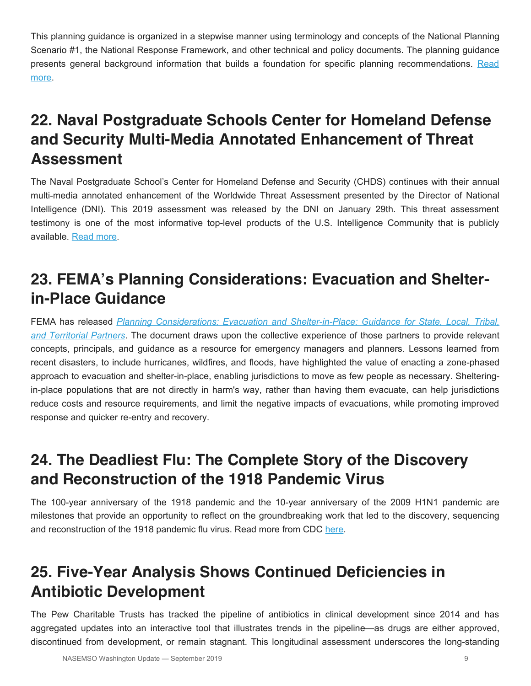This planning guidance is organized in a stepwise manner using terminology and concepts of the National Planning Scenario #1, the National Response Framework, and other technical and policy documents. The planning guidance presents general background information that builds a foundation for specific planning recommendations. [Read](https://www.fema.gov/media-library/assets/documents/24879) [more](https://www.fema.gov/media-library/assets/documents/24879).

## **22. Naval Postgraduate Schools Center for Homeland Defense and Security Multi-Media Annotated Enhancement of Threat Assessment**

The Naval Postgraduate School's Center for Homeland Defense and Security (CHDS) continues with their annual multi-media annotated enhancement of the Worldwide Threat Assessment presented by the Director of National Intelligence (DNI). This 2019 assessment was released by the DNI on January 29th. This threat assessment testimony is one of the most informative top-level products of the U.S. Intelligence Community that is publicly available. [Read more.](https://www.hhs.gov/hipaa/for-professionals/special-topics/emergency-preparedness/decision-tool-overview/index.html)

## **23. FEMA's Planning Considerations: Evacuation and Shelterin-Place Guidance**

FEMA has released *[Planning Considerations: Evacuation and Shelter-in-Place: Guidance for State, Local, Tribal,](https://www.fema.gov/plan) [and Territorial Partners](https://www.fema.gov/plan)*. The document draws upon the collective experience of those partners to provide relevant concepts, principals, and guidance as a resource for emergency managers and planners. Lessons learned from recent disasters, to include hurricanes, wildfires, and floods, have highlighted the value of enacting a zone-phased approach to evacuation and shelter-in-place, enabling jurisdictions to move as few people as necessary. Shelteringin-place populations that are not directly in harm's way, rather than having them evacuate, can help jurisdictions reduce costs and resource requirements, and limit the negative impacts of evacuations, while promoting improved response and quicker re-entry and recovery.

## **24. The Deadliest Flu: The Complete Story of the Discovery and Reconstruction of the 1918 Pandemic Virus**

The 100-year anniversary of the 1918 pandemic and the 10-year anniversary of the 2009 H1N1 pandemic are milestones that provide an opportunity to reflect on the groundbreaking work that led to the discovery, sequencing and reconstruction of the 1918 pandemic flu virus. Read more from CDC [here](https://www.cdc.gov/flu/pandemic-resources/reconstruction-1918-virus.html?deliveryName=DM2873).

## **25. Five-Year Analysis Shows Continued Deficiencies in Antibiotic Development**

The Pew Charitable Trusts has tracked the pipeline of antibiotics in clinical development since 2014 and has aggregated updates into an interactive tool that illustrates trends in the pipeline—as drugs are either approved, discontinued from development, or remain stagnant. This longitudinal assessment underscores the long-standing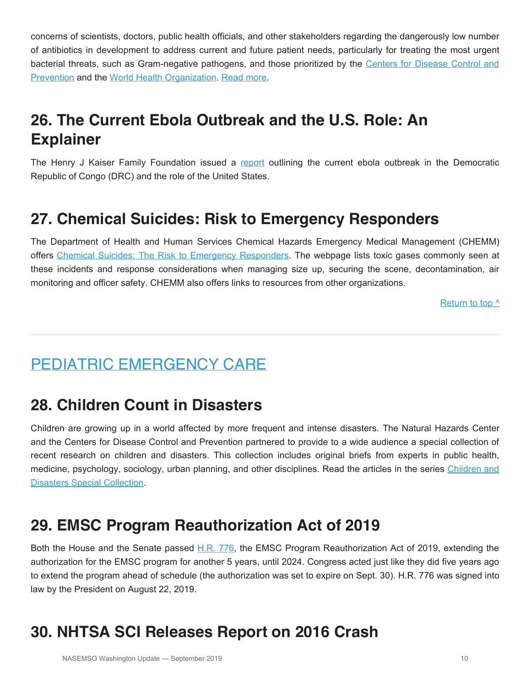concerns of scientists, doctors, public health officials, and other stakeholders regarding the dangerously low number of antibiotics in development to address current and future patient needs, particularly for treating the most urgent bacterial threats, such as Gram-negative pathogens, and those prioritized by the [Centers for Disease Control and](https://www.cdc.gov/drugresistance/biggest_threats.html) [Prevention](https://www.cdc.gov/drugresistance/biggest_threats.html) and the [World Health Organization](https://www.who.int/news-room/detail/27-02-2017-who-publishes-list-of-bacteria-for-which-new-antibiotics-are-urgently-needed). [Read more](https://www.pewtrusts.org/en/research-and-analysis/data-visualizations/2019/five-year-analysis-shows-continued-deficiencies-in-antibiotic-development).

## **26. The Current Ebola Outbreak and the U.S. Role: An Explainer**

The Henry J Kaiser Family Foundation issued a [report](https://www.kff.org/global-health-policy/issue-brief/the-current-ebola-outbreak-and-the-u-s-role-an-explainer/) outlining the current ebola outbreak in the Democratic Republic of Congo (DRC) and the role of the United States.

## **27. Chemical Suicides: Risk to Emergency Responders**

The Department of Health and Human Services Chemical Hazards Emergency Medical Management (CHEMM) offers [Chemical Suicides: The Risk to Emergency Responders](https://chemm.nlm.nih.gov/chemicalsuicide.htm). The webpage lists toxic gases commonly seen at these incidents and response considerations when managing size up, securing the scene, decontamination, air monitoring and officer safety. CHEMM also offers links to resources from other organizations.

Return to top  $\wedge$ 

## <span id="page-9-0"></span>PEDIATRIC EMERGENCY CARE

### **28. Children Count in Disasters**

Children are growing up in a world affected by more frequent and intense disasters. The Natural Hazards Center and the Centers for Disease Control and Prevention partnered to provide to a wide audience a special collection of recent research on children and disasters. This collection includes original briefs from experts in public health, medicine, psychology, sociology, urban planning, and other disciplines. Read the articles in the series [Children and](https://hazards.colorado.edu/news/research-counts/special-collection/children-and-disasters?deliveryName=USCDC_964-DM6535) [Disasters Special Collection.](https://hazards.colorado.edu/news/research-counts/special-collection/children-and-disasters?deliveryName=USCDC_964-DM6535)

### **29. EMSC Program Reauthorization Act of 2019**

Both the House and the Senate passed [H.R. 776,](https://www.congress.gov/bill/116th-congress/house-bill/776) the EMSC Program Reauthorization Act of 2019, extending the authorization for the EMSC program for another 5 years, until 2024. Congress acted just like they did five years ago to extend the program ahead of schedule (the authorization was set to expire on Sept. 30). H.R. 776 was signed into law by the President on August 22, 2019.

## **30. NHTSA SCI Releases Report on 2016 Crash**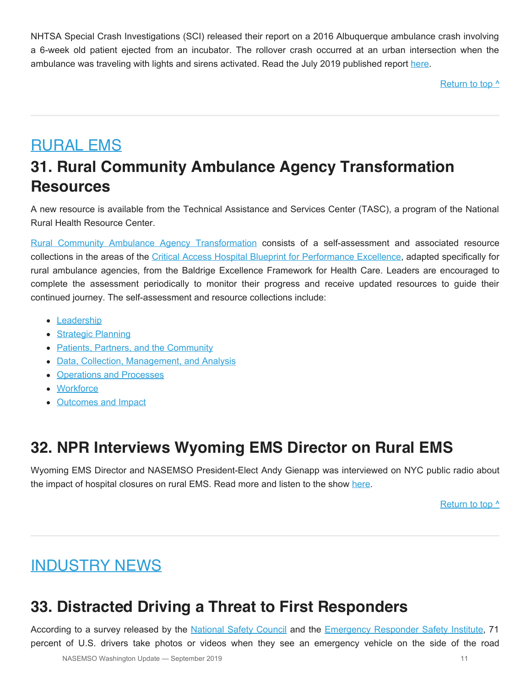NHTSA Special Crash Investigations (SCI) released their report on a 2016 Albuquerque ambulance crash involving a 6-week old patient ejected from an incubator. The rollover crash occurred at an urban intersection when the ambulance was traveling with lights and sirens activated. Read the July 2019 published report [here.](https://crashstats.nhtsa.dot.gov/Api/Public/ViewPublication/812726)

Return to top  $\wedge$ 

## <span id="page-10-0"></span>RURAL EMS **31. Rural Community Ambulance Agency Transformation Resources**

A new resource is available from the Technical Assistance and Services Center (TASC), a program of the National Rural Health Resource Center.

[Rural Community Ambulance Agency Transformation](https://www.ruralcenter.org/tasc/rural-community-ambulance-agency-transformation) consists of a self-assessment and associated resource collections in the areas of the [Critical Access Hospital Blueprint for Performance Excellence](https://www.ruralcenter.org/resource-library/cah-blueprint-for-performance-excellence), adapted specifically for rural ambulance agencies, from the Baldrige Excellence Framework for Health Care. Leaders are encouraged to complete the assessment periodically to monitor their progress and receive updated resources to guide their continued journey. The self-assessment and resource collections include:

- [Leadership](https://www.ruralcenter.org/tasc/rural-community-ambulance-agency-transformation/ems-leadership)
- [Strategic Planning](https://www.ruralcenter.org/tasc/rural-community-ambulance-agency-transformation/ems-strategic-planning)
- [Patients, Partners, and the Community](https://www.ruralcenter.org/tasc/rural-community-ambulance-agency-transformation/ems-patients-partners-and-the-community)
- [Data, Collection, Management, and Analysis](https://www.ruralcenter.org/tasc/rural-community-ambulance-agency-transformation/ems-data-collection-management-and-analysis)
- [Operations and Processes](https://www.ruralcenter.org/tasc/rural-community-ambulance-agency-transformation/ems-operations-and-processes)
- [Workforce](https://www.ruralcenter.org/tasc/rural-community-ambulance-agency-transformation/ems-workforce)
- [Outcomes and Impact](https://www.ruralcenter.org/tasc/rural-community-ambulance-agency-transformation/ems-outcomes-and-impact)

## **32. NPR Interviews Wyoming EMS Director on Rural EMS**

Wyoming EMS Director and NASEMSO President-Elect Andy Gienapp was interviewed on NYC public radio about the impact of hospital closures on rural EMS. Read more and listen to the show [here](https://www.wnycstudios.org/story/rural-communities-struggle-continue-providing-emergency-medical-services).

Return to top  $\wedge$ 

## <span id="page-10-1"></span>INDUSTRY NEWS

## **33. Distracted Driving a Threat to First Responders**

According to a survey released by the [National Safety Council](https://www.nsc.org/) and the [Emergency Responder Safety Institute](https://www.respondersafety.com/), 71 percent of U.S. drivers take photos or videos when they see an emergency vehicle on the side of the road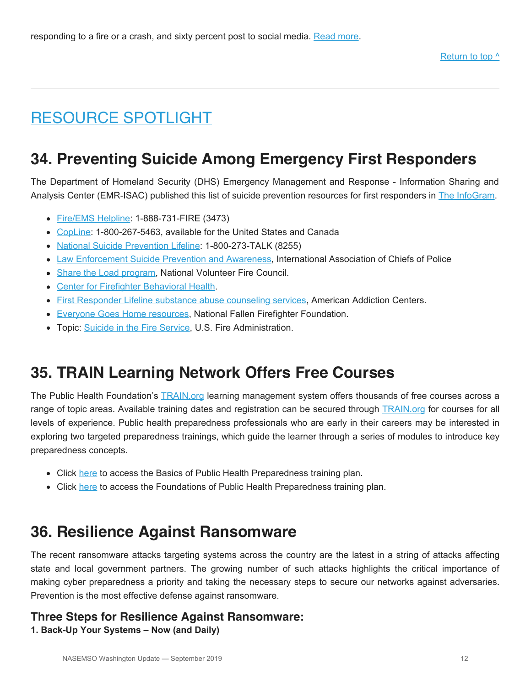## <span id="page-11-0"></span>RESOURCE SPOTLIGHT

## **34. Preventing Suicide Among Emergency First Responders**

The Department of Homeland Security (DHS) Emergency Management and Response - Information Sharing and Analysis Center (EMR-ISAC) published this list of suicide prevention resources for first responders in [The InfoGram.](https://content.govdelivery.com/attachments/USDHSFACIR/2019/08/09/file_attachments/1264000/The%20InfoGram%20-%20August%208,%202019.pdf)

- [Fire/EMS Helpline](https://www.nvfc.org/fireems-helpline/): 1-888-731-FIRE (3473)
- [CopLine:](http://www.copline.org/) 1-800-267-5463, available for the United States and Canada
- [National Suicide Prevention Lifeline:](https://suicidepreventionlifeline.org/) 1-800-273-TALK (8255)
- [Law Enforcement Suicide Prevention and Awareness,](https://www.theiacp.org/resources/document/law-enforcement-suicide-prevention-and-awareness) International Association of Chiefs of Police
- [Share the Load program](https://www.nvfc.org/programs/share-the-load-program/), National Volunteer Fire Council.
- [Center for Firefighter Behavioral Health](http://www.pocketpeer.org/).
- **[First Responder Lifeline substance abuse counseling services](https://americanaddictioncenters.org/fire-services), American Addiction Centers.**
- **[Everyone Goes Home resources,](https://www.everyonegoeshome.com/2017/02/08/prevent-firefighter-suicides/) National Fallen Firefighter Foundation.**
- Topic: [Suicide in the Fire Service,](http://rudermanfoundation.org/white_papers/police-officers-and-firefighters-are-more-likely-to-die-by-suicide-than-in-line-of-duty/) U.S. Fire Administration.

### **35. TRAIN Learning Network Offers Free Courses**

The Public Health Foundation's **[TRAIN.org](https://www.train.org/main/welcome) learning management system offers thousands of free courses across a** range of topic areas. Available training dates and registration can be secured through [TRAIN.org](https://www.train.org/main/welcome) for courses for all levels of experience. Public health preparedness professionals who are early in their careers may be interested in exploring two targeted preparedness trainings, which guide the learner through a series of modules to introduce key preparedness concepts.

- Click [here](https://www.train.org/cdctrain/training_plan/1809?deliveryName=DM5179) to access the Basics of Public Health Preparedness training plan.
- Click [here](https://www.train.org/cdctrain/training_plan/2177?deliveryName=DM5179) to access the Foundations of Public Health Preparedness training plan.

### **36. Resilience Against Ransomware**

The recent ransomware attacks targeting systems across the country are the latest in a string of attacks affecting state and local government partners. The growing number of such attacks highlights the critical importance of making cyber preparedness a priority and taking the necessary steps to secure our networks against adversaries. Prevention is the most effective defense against ransomware.

### **Three Steps for Resilience Against Ransomware:**

**1. Back-Up Your Systems – Now (and Daily)**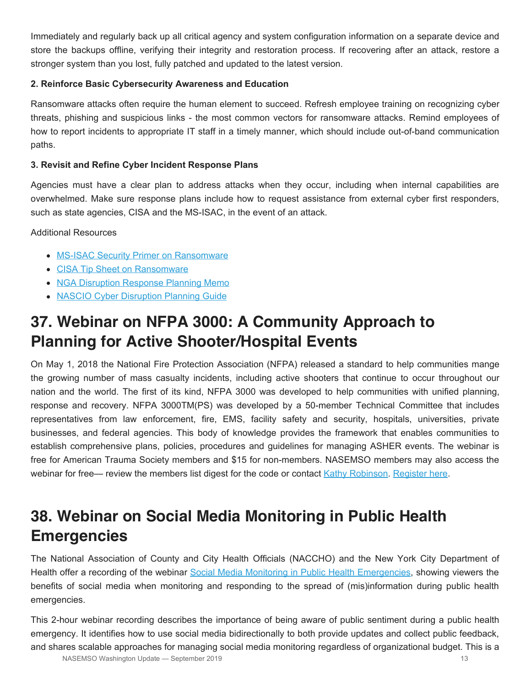Immediately and regularly back up all critical agency and system configuration information on a separate device and store the backups offline, verifying their integrity and restoration process. If recovering after an attack, restore a stronger system than you lost, fully patched and updated to the latest version.

### **2. Reinforce Basic Cybersecurity Awareness and Education**

Ransomware attacks often require the human element to succeed. Refresh employee training on recognizing cyber threats, phishing and suspicious links - the most common vectors for ransomware attacks. Remind employees of how to report incidents to appropriate IT staff in a timely manner, which should include out-of-band communication paths.

#### **3. Revisit and Refine Cyber Incident Response Plans**

Agencies must have a clear plan to address attacks when they occur, including when internal capabilities are overwhelmed. Make sure response plans include how to request assistance from external cyber first responders, such as state agencies, CISA and the MS-ISAC, in the event of an attack.

Additional Resources

- [MS-ISAC Security Primer on Ransomware](https://www.cisecurity.org/white-papers/ms-isac-security-primer-ransomware/)
- [CISA Tip Sheet on Ransomware](https://www.us-cert.gov/Ransomware)
- [NGA Disruption Response Planning Memo](https://www.nga.org/wp-content/uploads/2019/04/IssueBrief_MG.pdf)
- [NASCIO Cyber Disruption Planning Guide](https://www.nascio.org/Portals/0/Publications/Documents/2016/NASCIO_CyberDisruption_072016.pdf)

## **37. Webinar on NFPA 3000: A Community Approach to Planning for Active Shooter/Hospital Events**

On May 1, 2018 the National Fire Protection Association (NFPA) released a standard to help communities mange the growing number of mass casualty incidents, including active shooters that continue to occur throughout our nation and the world. The first of its kind, NFPA 3000 was developed to help communities with unified planning, response and recovery. NFPA 3000TM(PS) was developed by a 50-member Technical Committee that includes representatives from law enforcement, fire, EMS, facility safety and security, hospitals, universities, private businesses, and federal agencies. This body of knowledge provides the framework that enables communities to establish comprehensive plans, policies, procedures and guidelines for managing ASHER events. The webinar is free for American Trauma Society members and \$15 for non-members. NASEMSO members may also access the webinar for free— review the members list digest for the code or contact [Kathy Robinson](mailto:robinson@nasemso.org). [Register here](http://ats.mycrowdwisdom.com/diweb/catalog/item/id/4659915/q/t%3D47057&n%3D1&c%3D607).

## **38. Webinar on Social Media Monitoring in Public Health Emergencies**

The National Association of County and City Health Officials (NACCHO) and the New York City Department of Health offer a recording of the webinar [Social Media Monitoring in Public Health Emergencies](http://essentialelements.naccho.org/event/2019-public-health-communications-webinar-series-social-media-monitoring-in-public-health-emergencies), showing viewers the benefits of social media when monitoring and responding to the spread of (mis)information during public health emergencies.

This 2-hour webinar recording describes the importance of being aware of public sentiment during a public health emergency. It identifies how to use social media bidirectionally to both provide updates and collect public feedback, and shares scalable approaches for managing social media monitoring regardless of organizational budget. This is a NASEMSO Washington Update — September 2019 13<br>
13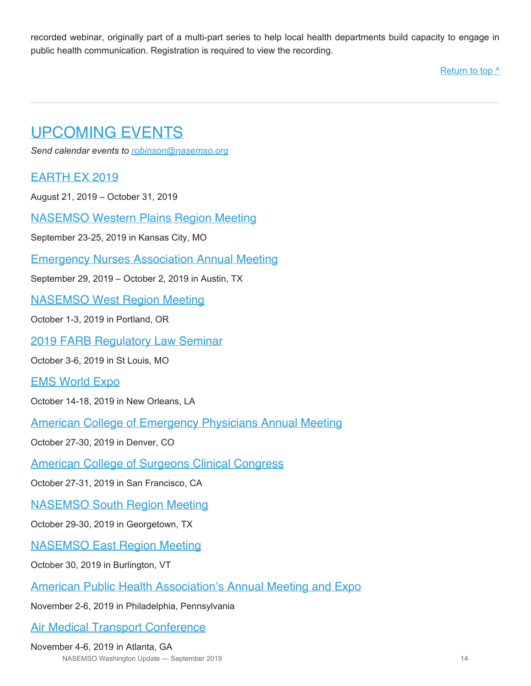recorded webinar, originally part of a multi-part series to help local health departments build capacity to engage in public health communication. Registration is required to view the recording.

Return to top  $\wedge$ 

## <span id="page-13-0"></span>UPCOMING EVENTS

*Send calendar events to [robinson@nasemso.org](mailto:robinson@nasemso.org?subject=Calendar%20Event%20for%20Washington%20Update)*

### [EARTH EX 2019](https://www.eiscouncil.org/EarthEx.aspx)

August 21, 2019 – October 31, 2019

[NASEMSO Western Plains Region Meeting](https://nasemso.org/news-events/events/event/western-plains-regional-conference/)

September 23-25, 2019 in Kansas City, MO

[Emergency Nurses Association Annual Meeting](https://www.ena.org/)

September 29, 2019 – October 2, 2019 in Austin, TX

[NASEMSO West Region Meeting](https://nasemso.org/news-events/events/event/west-region-meeting/)

October 1-3, 2019 in Portland, OR

[2019 FARB Regulatory Law Seminar](https://farb.imiscloud.com/SharedContent/Events/Event_Display.aspx?EventKey=53760707-9e16-429e-ab6a-d991179bdca7&iSearchResult=true&WebsiteKey=6d5eb519-6383-47f7-b4d0-addc7060cddf)

October 3-6, 2019 in St Louis, MO

[EMS World Expo](http://www.emsworldexpo.com/)

October 14-18, 2019 in New Orleans, LA

[American College of Emergency Physicians Annual Meeting](https://www.acep.org/)

October 27-30, 2019 in Denver, CO

[American College of Surgeons Clinical Congress](https://www.facs.org/clincon2018)

October 27-31, 2019 in San Francisco, CA

[NASEMSO South Region Meeting](https://nasemso.org/news-events/events/event/south-region-meeting/)

October 29-30, 2019 in Georgetown, TX

[NASEMSO East Region Meeting](https://nasemso.org/news-events/events/event/east-region-nasemso-meeting/)

October 30, 2019 in Burlington, VT

[American Public Health Association's Annual Meeting and Expo](https://www.apha.org/events-and-meetings/annual/registration-information)

November 2-6, 2019 in Philadelphia, Pennsylvania

[Air Medical Transport Conference](http://aams.org/education-meetings/)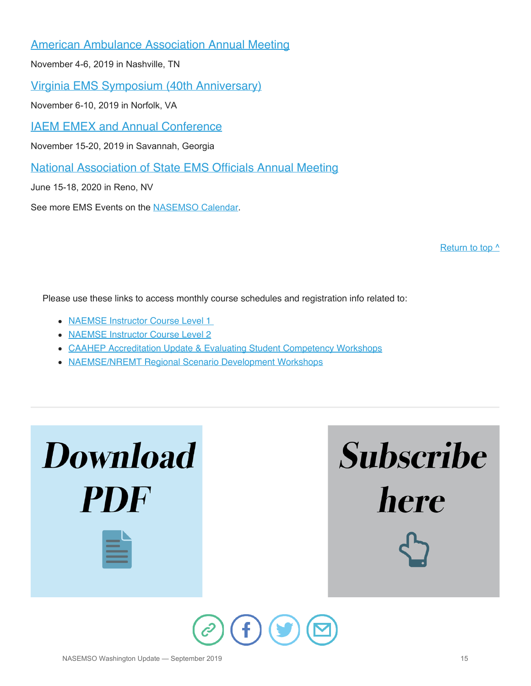[American Ambulance Association Annual Meeting](https://annual.ambulance.org/)

November 4-6, 2019 in Nashville, TN

[Virginia EMS Symposium \(40th Anniversary\)](http://www.vdh.virginia.gov/emergency-medical-services/ems-symposium/)

November 6-10, 2019 in Norfolk, VA

[IAEM EMEX and Annual Conference](https://iaemconference.info/2019/)

November 15-20, 2019 in Savannah, Georgia

[National Association of State EMS Officials Annual Meeting](http://www.nasemso.org/)

June 15-18, 2020 in Reno, NV

See more EMS Events on the [NASEMSO Calendar.](https://nasemso.org/news-events/events/)

[Return to top ^](#page-0-0)

Please use these links to access monthly course schedules and registration info related to:

- [NAEMSE Instructor Course Level 1](http://naemse.org/?page=LVL1InstructorCourse)
- [NAEMSE Instructor Course Level 2](http://naemse.org/?page=LVL2InstructorCourse)
- [CAAHEP Accreditation Update & Evaluating Student Competency Workshops](http://naemse.org/?page=coaemsp)
- [NAEMSE/NREMT Regional Scenario Development Workshops](http://naemse.org/?page=nremt)